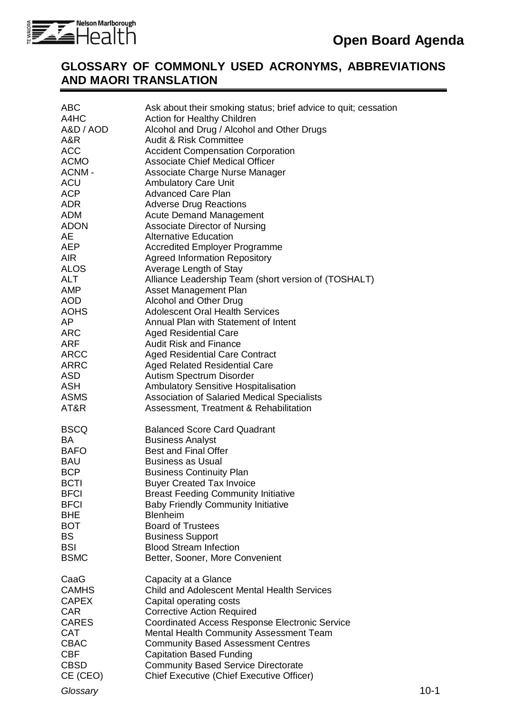

### **GLOSSARY OF COMMONLY USED ACRONYMS, ABBREVIATIONS AND MAORI TRANSLATION**

| <b>ABC</b><br>A4HC<br>A&D / AOD<br>A&R<br><b>ACC</b><br><b>ACMO</b><br>ACNM-<br><b>ACU</b><br>ACP<br>ADR<br>ADM<br>ADON<br>AE<br>AEP<br><b>AIR</b><br>ALOS<br><b>ALT</b><br><b>AMP</b><br><b>AOD</b><br>AOHS<br>AP<br><b>ARC</b><br>ARF<br><b>ARCC</b><br><b>ARRC</b><br><b>ASD</b><br><b>ASH</b><br><b>ASMS</b><br>AT&R | Ask about their smoking status; brief advice to quit; cessation<br>Action for Healthy Children<br>Alcohol and Drug / Alcohol and Other Drugs<br><b>Audit &amp; Risk Committee</b><br><b>Accident Compensation Corporation</b><br><b>Associate Chief Medical Officer</b><br>Associate Charge Nurse Manager<br><b>Ambulatory Care Unit</b><br><b>Advanced Care Plan</b><br><b>Adverse Drug Reactions</b><br><b>Acute Demand Management</b><br><b>Associate Director of Nursing</b><br><b>Alternative Education</b><br><b>Accredited Employer Programme</b><br><b>Agreed Information Repository</b><br>Average Length of Stay<br>Alliance Leadership Team (short version of (TOSHALT)<br><b>Asset Management Plan</b><br>Alcohol and Other Drug<br><b>Adolescent Oral Health Services</b><br>Annual Plan with Statement of Intent<br><b>Aged Residential Care</b><br><b>Audit Risk and Finance</b><br><b>Aged Residential Care Contract</b><br><b>Aged Related Residential Care</b><br>Autism Spectrum Disorder<br><b>Ambulatory Sensitive Hospitalisation</b><br>Association of Salaried Medical Specialists<br>Assessment, Treatment & Rehabilitation |          |
|--------------------------------------------------------------------------------------------------------------------------------------------------------------------------------------------------------------------------------------------------------------------------------------------------------------------------|------------------------------------------------------------------------------------------------------------------------------------------------------------------------------------------------------------------------------------------------------------------------------------------------------------------------------------------------------------------------------------------------------------------------------------------------------------------------------------------------------------------------------------------------------------------------------------------------------------------------------------------------------------------------------------------------------------------------------------------------------------------------------------------------------------------------------------------------------------------------------------------------------------------------------------------------------------------------------------------------------------------------------------------------------------------------------------------------------------------------------------------------------|----------|
| <b>BSCQ</b><br><b>BA</b><br><b>BAFO</b><br><b>BAU</b><br><b>BCP</b><br><b>BCTI</b><br><b>BFCI</b><br><b>BFCI</b><br><b>BHE</b><br><b>BOT</b><br><b>BS</b><br><b>BSI</b><br><b>BSMC</b>                                                                                                                                   | <b>Balanced Score Card Quadrant</b><br><b>Business Analyst</b><br><b>Best and Final Offer</b><br><b>Business as Usual</b><br><b>Business Continuity Plan</b><br><b>Buyer Created Tax Invoice</b><br><b>Breast Feeding Community Initiative</b><br><b>Baby Friendly Community Initiative</b><br><b>Blenheim</b><br><b>Board of Trustees</b><br><b>Business Support</b><br><b>Blood Stream Infection</b><br>Better, Sooner, More Convenient                                                                                                                                                                                                                                                                                                                                                                                                                                                                                                                                                                                                                                                                                                            |          |
| CaaG<br><b>CAMHS</b><br><b>CAPEX</b><br><b>CAR</b><br><b>CARES</b><br><b>CAT</b><br><b>CBAC</b><br><b>CBF</b><br><b>CBSD</b><br>CE (CEO)<br>Glossary                                                                                                                                                                     | Capacity at a Glance<br><b>Child and Adolescent Mental Health Services</b><br>Capital operating costs<br><b>Corrective Action Required</b><br><b>Coordinated Access Response Electronic Service</b><br><b>Mental Health Community Assessment Team</b><br><b>Community Based Assessment Centres</b><br><b>Capitation Based Funding</b><br><b>Community Based Service Directorate</b><br>Chief Executive (Chief Executive Officer)                                                                                                                                                                                                                                                                                                                                                                                                                                                                                                                                                                                                                                                                                                                     | $10 - 1$ |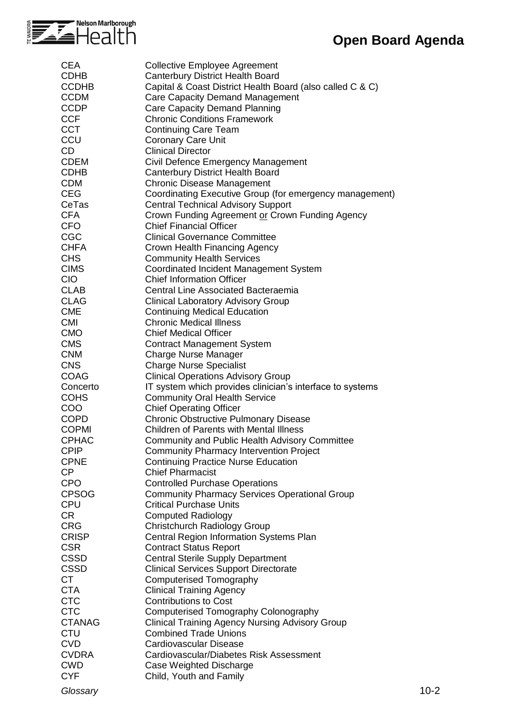

| <b>CEA</b>    | <b>Collective Employee Agreement</b>                                                           |          |
|---------------|------------------------------------------------------------------------------------------------|----------|
| <b>CDHB</b>   | <b>Canterbury District Health Board</b>                                                        |          |
| <b>CCDHB</b>  | Capital & Coast District Health Board (also called C & C)                                      |          |
| <b>CCDM</b>   | Care Capacity Demand Management                                                                |          |
| <b>CCDP</b>   | Care Capacity Demand Planning                                                                  |          |
| <b>CCF</b>    | <b>Chronic Conditions Framework</b>                                                            |          |
| <b>CCT</b>    | <b>Continuing Care Team</b>                                                                    |          |
| CCU           | <b>Coronary Care Unit</b>                                                                      |          |
| CD            | <b>Clinical Director</b>                                                                       |          |
| <b>CDEM</b>   | Civil Defence Emergency Management                                                             |          |
| <b>CDHB</b>   | <b>Canterbury District Health Board</b>                                                        |          |
| <b>CDM</b>    |                                                                                                |          |
|               | <b>Chronic Disease Management</b>                                                              |          |
| <b>CEG</b>    | Coordinating Executive Group (for emergency management)                                        |          |
| CeTas         | <b>Central Technical Advisory Support</b>                                                      |          |
| <b>CFA</b>    | Crown Funding Agreement or Crown Funding Agency                                                |          |
| <b>CFO</b>    | <b>Chief Financial Officer</b>                                                                 |          |
| <b>CGC</b>    | <b>Clinical Governance Committee</b>                                                           |          |
| <b>CHFA</b>   | Crown Health Financing Agency                                                                  |          |
| <b>CHS</b>    | <b>Community Health Services</b>                                                               |          |
| <b>CIMS</b>   | Coordinated Incident Management System                                                         |          |
| <b>CIO</b>    | <b>Chief Information Officer</b>                                                               |          |
| <b>CLAB</b>   | <b>Central Line Associated Bacteraemia</b>                                                     |          |
| <b>CLAG</b>   | <b>Clinical Laboratory Advisory Group</b>                                                      |          |
| <b>CME</b>    | <b>Continuing Medical Education</b>                                                            |          |
| <b>CMI</b>    | <b>Chronic Medical Illness</b>                                                                 |          |
| <b>CMO</b>    | <b>Chief Medical Officer</b>                                                                   |          |
| <b>CMS</b>    | <b>Contract Management System</b>                                                              |          |
| <b>CNM</b>    | <b>Charge Nurse Manager</b>                                                                    |          |
| <b>CNS</b>    | <b>Charge Nurse Specialist</b>                                                                 |          |
| <b>COAG</b>   | <b>Clinical Operations Advisory Group</b>                                                      |          |
| Concerto      | IT system which provides clinician's interface to systems                                      |          |
| <b>COHS</b>   | <b>Community Oral Health Service</b>                                                           |          |
| COO           | <b>Chief Operating Officer</b>                                                                 |          |
| <b>COPD</b>   |                                                                                                |          |
|               | <b>Chronic Obstructive Pulmonary Disease</b><br><b>Children of Parents with Mental Illness</b> |          |
| <b>COPMI</b>  |                                                                                                |          |
| <b>CPHAC</b>  | <b>Community and Public Health Advisory Committee</b>                                          |          |
| <b>CPIP</b>   | <b>Community Pharmacy Intervention Project</b>                                                 |          |
| <b>CPNE</b>   | <b>Continuing Practice Nurse Education</b>                                                     |          |
| <b>CP</b>     | <b>Chief Pharmacist</b>                                                                        |          |
| <b>CPO</b>    | <b>Controlled Purchase Operations</b>                                                          |          |
| <b>CPSOG</b>  | <b>Community Pharmacy Services Operational Group</b>                                           |          |
| <b>CPU</b>    | <b>Critical Purchase Units</b>                                                                 |          |
| CR.           | <b>Computed Radiology</b>                                                                      |          |
| <b>CRG</b>    | Christchurch Radiology Group                                                                   |          |
| <b>CRISP</b>  | Central Region Information Systems Plan                                                        |          |
| <b>CSR</b>    | <b>Contract Status Report</b>                                                                  |          |
| <b>CSSD</b>   | <b>Central Sterile Supply Department</b>                                                       |          |
| <b>CSSD</b>   | <b>Clinical Services Support Directorate</b>                                                   |          |
| <b>CT</b>     | Computerised Tomography                                                                        |          |
| <b>CTA</b>    | <b>Clinical Training Agency</b>                                                                |          |
| <b>CTC</b>    | <b>Contributions to Cost</b>                                                                   |          |
| <b>CTC</b>    | Computerised Tomography Colonography                                                           |          |
| <b>CTANAG</b> | <b>Clinical Training Agency Nursing Advisory Group</b>                                         |          |
| <b>CTU</b>    | <b>Combined Trade Unions</b>                                                                   |          |
| <b>CVD</b>    | Cardiovascular Disease                                                                         |          |
| <b>CVDRA</b>  | Cardiovascular/Diabetes Risk Assessment                                                        |          |
| <b>CWD</b>    | Case Weighted Discharge                                                                        |          |
| <b>CYF</b>    | Child, Youth and Family                                                                        |          |
|               |                                                                                                |          |
| Glossary      |                                                                                                | $10 - 2$ |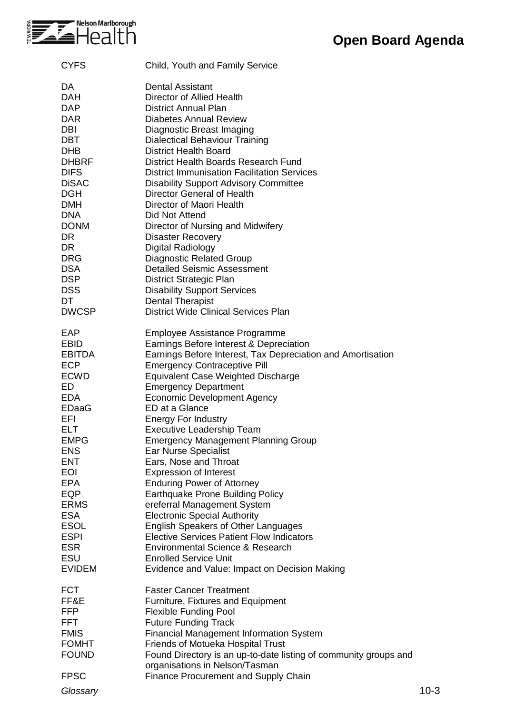

| <b>CYFS</b>                                                                                                                                                                                                                                                                                              | Child, Youth and Family Service                                                                                                                                                                                                                                                                                                                                                                                                                                                                                                                                                                                                                                                                                                                                                                                                                                                                   |        |
|----------------------------------------------------------------------------------------------------------------------------------------------------------------------------------------------------------------------------------------------------------------------------------------------------------|---------------------------------------------------------------------------------------------------------------------------------------------------------------------------------------------------------------------------------------------------------------------------------------------------------------------------------------------------------------------------------------------------------------------------------------------------------------------------------------------------------------------------------------------------------------------------------------------------------------------------------------------------------------------------------------------------------------------------------------------------------------------------------------------------------------------------------------------------------------------------------------------------|--------|
| DA<br><b>DAH</b><br><b>DAP</b><br><b>DAR</b><br>DBI<br><b>DBT</b><br><b>DHB</b><br><b>DHBRF</b><br><b>DIFS</b><br><b>DiSAC</b><br><b>DGH</b><br><b>DMH</b><br><b>DNA</b><br><b>DONM</b><br>DR.<br><b>DR</b><br><b>DRG</b><br><b>DSA</b><br><b>DSP</b><br><b>DSS</b><br>DT<br><b>DWCSP</b>                | <b>Dental Assistant</b><br>Director of Allied Health<br><b>District Annual Plan</b><br><b>Diabetes Annual Review</b><br>Diagnostic Breast Imaging<br><b>Dialectical Behaviour Training</b><br><b>District Health Board</b><br>District Health Boards Research Fund<br><b>District Immunisation Facilitation Services</b><br><b>Disability Support Advisory Committee</b><br>Director General of Health<br>Director of Maori Health<br>Did Not Attend<br>Director of Nursing and Midwifery<br><b>Disaster Recovery</b><br>Digital Radiology<br><b>Diagnostic Related Group</b><br><b>Detailed Seismic Assessment</b><br><b>District Strategic Plan</b><br><b>Disability Support Services</b><br><b>Dental Therapist</b><br><b>District Wide Clinical Services Plan</b>                                                                                                                             |        |
| EAP<br><b>EBID</b><br><b>EBITDA</b><br><b>ECP</b><br><b>ECWD</b><br>ED<br><b>EDA</b><br><b>EDaaG</b><br>EFI<br><b>ELT</b><br><b>EMPG</b><br><b>ENS</b><br><b>ENT</b><br><b>EOI</b><br><b>EPA</b><br>EQP<br><b>ERMS</b><br><b>ESA</b><br><b>ESOL</b><br><b>ESPI</b><br><b>ESR</b><br>ESU<br><b>EVIDEM</b> | Employee Assistance Programme<br>Earnings Before Interest & Depreciation<br>Earnings Before Interest, Tax Depreciation and Amortisation<br><b>Emergency Contraceptive Pill</b><br>Equivalent Case Weighted Discharge<br><b>Emergency Department</b><br><b>Economic Development Agency</b><br>ED at a Glance<br><b>Energy For Industry</b><br><b>Executive Leadership Team</b><br><b>Emergency Management Planning Group</b><br><b>Ear Nurse Specialist</b><br>Ears, Nose and Throat<br><b>Expression of Interest</b><br><b>Enduring Power of Attorney</b><br><b>Earthquake Prone Building Policy</b><br>ereferral Management System<br><b>Electronic Special Authority</b><br><b>English Speakers of Other Languages</b><br><b>Elective Services Patient Flow Indicators</b><br>Environmental Science & Research<br><b>Enrolled Service Unit</b><br>Evidence and Value: Impact on Decision Making |        |
| <b>FCT</b><br>FF&E<br><b>FFP</b><br><b>FFT</b><br><b>FMIS</b><br><b>FOMHT</b><br><b>FOUND</b><br><b>FPSC</b><br>Glossary                                                                                                                                                                                 | <b>Faster Cancer Treatment</b><br>Furniture, Fixtures and Equipment<br><b>Flexible Funding Pool</b><br><b>Future Funding Track</b><br><b>Financial Management Information System</b><br>Friends of Motueka Hospital Trust<br>Found Directory is an up-to-date listing of community groups and<br>organisations in Nelson/Tasman<br><b>Finance Procurement and Supply Chain</b>                                                                                                                                                                                                                                                                                                                                                                                                                                                                                                                    | $10-3$ |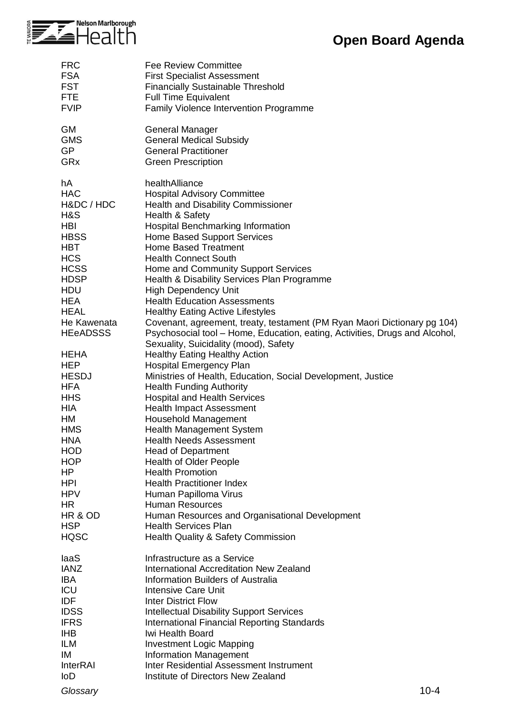

| <b>FRC</b>                                                                                                                                                                                                                                                                                                                                                                                                                 | <b>Fee Review Committee</b>                                                                                                                                                                                                                                                                                                                                                                                                                                                                                                                                                                                                                                                                                                                                                                                                                                                                                                                                                                                                                                                                                                                                                                                                                                                                                                                           |
|----------------------------------------------------------------------------------------------------------------------------------------------------------------------------------------------------------------------------------------------------------------------------------------------------------------------------------------------------------------------------------------------------------------------------|-------------------------------------------------------------------------------------------------------------------------------------------------------------------------------------------------------------------------------------------------------------------------------------------------------------------------------------------------------------------------------------------------------------------------------------------------------------------------------------------------------------------------------------------------------------------------------------------------------------------------------------------------------------------------------------------------------------------------------------------------------------------------------------------------------------------------------------------------------------------------------------------------------------------------------------------------------------------------------------------------------------------------------------------------------------------------------------------------------------------------------------------------------------------------------------------------------------------------------------------------------------------------------------------------------------------------------------------------------|
| <b>FSA</b>                                                                                                                                                                                                                                                                                                                                                                                                                 | <b>First Specialist Assessment</b>                                                                                                                                                                                                                                                                                                                                                                                                                                                                                                                                                                                                                                                                                                                                                                                                                                                                                                                                                                                                                                                                                                                                                                                                                                                                                                                    |
| <b>FST</b>                                                                                                                                                                                                                                                                                                                                                                                                                 | <b>Financially Sustainable Threshold</b>                                                                                                                                                                                                                                                                                                                                                                                                                                                                                                                                                                                                                                                                                                                                                                                                                                                                                                                                                                                                                                                                                                                                                                                                                                                                                                              |
| <b>FTE</b>                                                                                                                                                                                                                                                                                                                                                                                                                 | <b>Full Time Equivalent</b>                                                                                                                                                                                                                                                                                                                                                                                                                                                                                                                                                                                                                                                                                                                                                                                                                                                                                                                                                                                                                                                                                                                                                                                                                                                                                                                           |
| <b>FVIP</b>                                                                                                                                                                                                                                                                                                                                                                                                                | Family Violence Intervention Programme                                                                                                                                                                                                                                                                                                                                                                                                                                                                                                                                                                                                                                                                                                                                                                                                                                                                                                                                                                                                                                                                                                                                                                                                                                                                                                                |
| <b>GM</b>                                                                                                                                                                                                                                                                                                                                                                                                                  | <b>General Manager</b>                                                                                                                                                                                                                                                                                                                                                                                                                                                                                                                                                                                                                                                                                                                                                                                                                                                                                                                                                                                                                                                                                                                                                                                                                                                                                                                                |
| <b>GMS</b>                                                                                                                                                                                                                                                                                                                                                                                                                 | <b>General Medical Subsidy</b>                                                                                                                                                                                                                                                                                                                                                                                                                                                                                                                                                                                                                                                                                                                                                                                                                                                                                                                                                                                                                                                                                                                                                                                                                                                                                                                        |
| <b>GP</b>                                                                                                                                                                                                                                                                                                                                                                                                                  | <b>General Practitioner</b>                                                                                                                                                                                                                                                                                                                                                                                                                                                                                                                                                                                                                                                                                                                                                                                                                                                                                                                                                                                                                                                                                                                                                                                                                                                                                                                           |
| GRx                                                                                                                                                                                                                                                                                                                                                                                                                        | <b>Green Prescription</b>                                                                                                                                                                                                                                                                                                                                                                                                                                                                                                                                                                                                                                                                                                                                                                                                                                                                                                                                                                                                                                                                                                                                                                                                                                                                                                                             |
| hA<br><b>HAC</b><br>H&DC / HDC<br>H&S<br><b>HBI</b><br><b>HBSS</b><br><b>HBT</b><br><b>HCS</b><br><b>HCSS</b><br><b>HDSP</b><br><b>HDU</b><br><b>HEA</b><br><b>HEAL</b><br>He Kawenata<br><b>HEeADSSS</b><br><b>HEHA</b><br><b>HEP</b><br><b>HESDJ</b><br><b>HFA</b><br><b>HHS</b><br>HIA<br>НM<br><b>HMS</b><br>HNA<br><b>HOD</b><br><b>HOP</b><br>HP.<br>HPI<br><b>HPV</b><br>HR<br>HR & OD<br><b>HSP</b><br><b>HQSC</b> | healthAlliance<br><b>Hospital Advisory Committee</b><br><b>Health and Disability Commissioner</b><br>Health & Safety<br>Hospital Benchmarking Information<br><b>Home Based Support Services</b><br><b>Home Based Treatment</b><br><b>Health Connect South</b><br>Home and Community Support Services<br>Health & Disability Services Plan Programme<br><b>High Dependency Unit</b><br><b>Health Education Assessments</b><br><b>Healthy Eating Active Lifestyles</b><br>Covenant, agreement, treaty, testament (PM Ryan Maori Dictionary pg 104)<br>Psychosocial tool – Home, Education, eating, Activities, Drugs and Alcohol,<br>Sexuality, Suicidality (mood), Safety<br><b>Healthy Eating Healthy Action</b><br><b>Hospital Emergency Plan</b><br>Ministries of Health, Education, Social Development, Justice<br><b>Health Funding Authority</b><br><b>Hospital and Health Services</b><br><b>Health Impact Assessment</b><br><b>Household Management</b><br><b>Health Management System</b><br><b>Health Needs Assessment</b><br><b>Head of Department</b><br><b>Health of Older People</b><br><b>Health Promotion</b><br><b>Health Practitioner Index</b><br>Human Papilloma Virus<br><b>Human Resources</b><br>Human Resources and Organisational Development<br><b>Health Services Plan</b><br><b>Health Quality &amp; Safety Commission</b> |
| laaS                                                                                                                                                                                                                                                                                                                                                                                                                       | Infrastructure as a Service                                                                                                                                                                                                                                                                                                                                                                                                                                                                                                                                                                                                                                                                                                                                                                                                                                                                                                                                                                                                                                                                                                                                                                                                                                                                                                                           |
| <b>IANZ</b>                                                                                                                                                                                                                                                                                                                                                                                                                | International Accreditation New Zealand                                                                                                                                                                                                                                                                                                                                                                                                                                                                                                                                                                                                                                                                                                                                                                                                                                                                                                                                                                                                                                                                                                                                                                                                                                                                                                               |
| <b>IBA</b>                                                                                                                                                                                                                                                                                                                                                                                                                 | Information Builders of Australia                                                                                                                                                                                                                                                                                                                                                                                                                                                                                                                                                                                                                                                                                                                                                                                                                                                                                                                                                                                                                                                                                                                                                                                                                                                                                                                     |
| ICU                                                                                                                                                                                                                                                                                                                                                                                                                        | <b>Intensive Care Unit</b>                                                                                                                                                                                                                                                                                                                                                                                                                                                                                                                                                                                                                                                                                                                                                                                                                                                                                                                                                                                                                                                                                                                                                                                                                                                                                                                            |
| <b>IDF</b>                                                                                                                                                                                                                                                                                                                                                                                                                 | <b>Inter District Flow</b>                                                                                                                                                                                                                                                                                                                                                                                                                                                                                                                                                                                                                                                                                                                                                                                                                                                                                                                                                                                                                                                                                                                                                                                                                                                                                                                            |
| <b>IDSS</b>                                                                                                                                                                                                                                                                                                                                                                                                                | <b>Intellectual Disability Support Services</b>                                                                                                                                                                                                                                                                                                                                                                                                                                                                                                                                                                                                                                                                                                                                                                                                                                                                                                                                                                                                                                                                                                                                                                                                                                                                                                       |
| <b>IFRS</b>                                                                                                                                                                                                                                                                                                                                                                                                                | <b>International Financial Reporting Standards</b>                                                                                                                                                                                                                                                                                                                                                                                                                                                                                                                                                                                                                                                                                                                                                                                                                                                                                                                                                                                                                                                                                                                                                                                                                                                                                                    |
| <b>IHB</b>                                                                                                                                                                                                                                                                                                                                                                                                                 | Iwi Health Board                                                                                                                                                                                                                                                                                                                                                                                                                                                                                                                                                                                                                                                                                                                                                                                                                                                                                                                                                                                                                                                                                                                                                                                                                                                                                                                                      |
| <b>ILM</b>                                                                                                                                                                                                                                                                                                                                                                                                                 | <b>Investment Logic Mapping</b>                                                                                                                                                                                                                                                                                                                                                                                                                                                                                                                                                                                                                                                                                                                                                                                                                                                                                                                                                                                                                                                                                                                                                                                                                                                                                                                       |
| IM                                                                                                                                                                                                                                                                                                                                                                                                                         | <b>Information Management</b>                                                                                                                                                                                                                                                                                                                                                                                                                                                                                                                                                                                                                                                                                                                                                                                                                                                                                                                                                                                                                                                                                                                                                                                                                                                                                                                         |
| <b>InterRAI</b>                                                                                                                                                                                                                                                                                                                                                                                                            | Inter Residential Assessment Instrument                                                                                                                                                                                                                                                                                                                                                                                                                                                                                                                                                                                                                                                                                                                                                                                                                                                                                                                                                                                                                                                                                                                                                                                                                                                                                                               |
| <b>IoD</b>                                                                                                                                                                                                                                                                                                                                                                                                                 | Institute of Directors New Zealand                                                                                                                                                                                                                                                                                                                                                                                                                                                                                                                                                                                                                                                                                                                                                                                                                                                                                                                                                                                                                                                                                                                                                                                                                                                                                                                    |

*Glossary* 10-4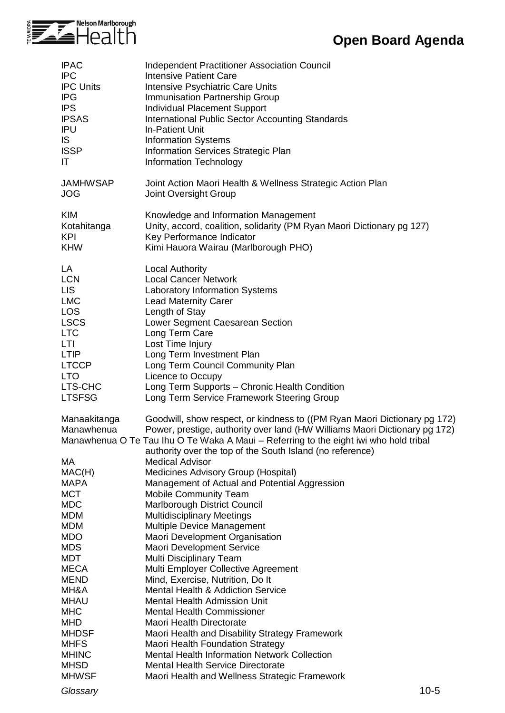

| <b>IPAC</b><br><b>IPC</b><br><b>IPC Units</b><br><b>IPG</b><br><b>IPS</b><br><b>IPSAS</b><br>IPU<br>IS.<br><b>ISSP</b><br>IT                                                   | Independent Practitioner Association Council<br><b>Intensive Patient Care</b><br>Intensive Psychiatric Care Units<br>Immunisation Partnership Group<br><b>Individual Placement Support</b><br><b>International Public Sector Accounting Standards</b><br><b>In-Patient Unit</b><br><b>Information Systems</b><br>Information Services Strategic Plan<br>Information Technology                                |
|--------------------------------------------------------------------------------------------------------------------------------------------------------------------------------|---------------------------------------------------------------------------------------------------------------------------------------------------------------------------------------------------------------------------------------------------------------------------------------------------------------------------------------------------------------------------------------------------------------|
| <b>JAMHWSAP</b><br><b>JOG</b>                                                                                                                                                  | Joint Action Maori Health & Wellness Strategic Action Plan<br>Joint Oversight Group                                                                                                                                                                                                                                                                                                                           |
| <b>KIM</b><br>Kotahitanga<br><b>KPI</b><br><b>KHW</b>                                                                                                                          | Knowledge and Information Management<br>Unity, accord, coalition, solidarity (PM Ryan Maori Dictionary pg 127)<br>Key Performance Indicator<br>Kimi Hauora Wairau (Marlborough PHO)                                                                                                                                                                                                                           |
| LA<br><b>LCN</b><br><b>LIS</b><br><b>LMC</b><br><b>LOS</b><br><b>LSCS</b><br><b>LTC</b><br><b>LTI</b><br><b>LTIP</b><br><b>LTCCP</b><br><b>LTO</b><br>LTS-CHC<br><b>LTSFSG</b> | <b>Local Authority</b><br><b>Local Cancer Network</b><br><b>Laboratory Information Systems</b><br><b>Lead Maternity Carer</b><br>Length of Stay<br>Lower Segment Caesarean Section<br>Long Term Care<br>Lost Time Injury<br>Long Term Investment Plan<br>Long Term Council Community Plan<br>Licence to Occupy<br>Long Term Supports - Chronic Health Condition<br>Long Term Service Framework Steering Group |
| Manaakitanga<br>Manawhenua                                                                                                                                                     | Goodwill, show respect, or kindness to ((PM Ryan Maori Dictionary pg 172)<br>Power, prestige, authority over land (HW Williams Maori Dictionary pg 172)<br>Manawhenua O Te Tau Ihu O Te Waka A Maui - Referring to the eight iwi who hold tribal<br>authority over the top of the South Island (no reference)                                                                                                 |
| МA                                                                                                                                                                             | <b>Medical Advisor</b>                                                                                                                                                                                                                                                                                                                                                                                        |
| MAC(H)<br><b>MAPA</b>                                                                                                                                                          | Medicines Advisory Group (Hospital)<br>Management of Actual and Potential Aggression                                                                                                                                                                                                                                                                                                                          |
| <b>MCT</b>                                                                                                                                                                     | <b>Mobile Community Team</b>                                                                                                                                                                                                                                                                                                                                                                                  |
| <b>MDC</b>                                                                                                                                                                     | Marlborough District Council                                                                                                                                                                                                                                                                                                                                                                                  |
| <b>MDM</b><br><b>MDM</b>                                                                                                                                                       | <b>Multidisciplinary Meetings</b><br>Multiple Device Management                                                                                                                                                                                                                                                                                                                                               |
| <b>MDO</b>                                                                                                                                                                     | Maori Development Organisation                                                                                                                                                                                                                                                                                                                                                                                |
| <b>MDS</b>                                                                                                                                                                     | <b>Maori Development Service</b>                                                                                                                                                                                                                                                                                                                                                                              |
| <b>MDT</b><br><b>MECA</b>                                                                                                                                                      | Multi Disciplinary Team<br>Multi Employer Collective Agreement                                                                                                                                                                                                                                                                                                                                                |
| <b>MEND</b>                                                                                                                                                                    | Mind, Exercise, Nutrition, Do It                                                                                                                                                                                                                                                                                                                                                                              |
| MH&A                                                                                                                                                                           | <b>Mental Health &amp; Addiction Service</b>                                                                                                                                                                                                                                                                                                                                                                  |
| <b>MHAU</b>                                                                                                                                                                    | <b>Mental Health Admission Unit</b>                                                                                                                                                                                                                                                                                                                                                                           |
| <b>MHC</b><br><b>MHD</b>                                                                                                                                                       | <b>Mental Health Commissioner</b><br><b>Maori Health Directorate</b>                                                                                                                                                                                                                                                                                                                                          |
| <b>MHDSF</b>                                                                                                                                                                   | Maori Health and Disability Strategy Framework                                                                                                                                                                                                                                                                                                                                                                |
| <b>MHFS</b>                                                                                                                                                                    | <b>Maori Health Foundation Strategy</b>                                                                                                                                                                                                                                                                                                                                                                       |
| <b>MHINC</b>                                                                                                                                                                   | <b>Mental Health Information Network Collection</b>                                                                                                                                                                                                                                                                                                                                                           |
| <b>MHSD</b>                                                                                                                                                                    | <b>Mental Health Service Directorate</b>                                                                                                                                                                                                                                                                                                                                                                      |
| <b>MHWSF</b>                                                                                                                                                                   | Maori Health and Wellness Strategic Framework                                                                                                                                                                                                                                                                                                                                                                 |
| Glossary                                                                                                                                                                       | $10-5$                                                                                                                                                                                                                                                                                                                                                                                                        |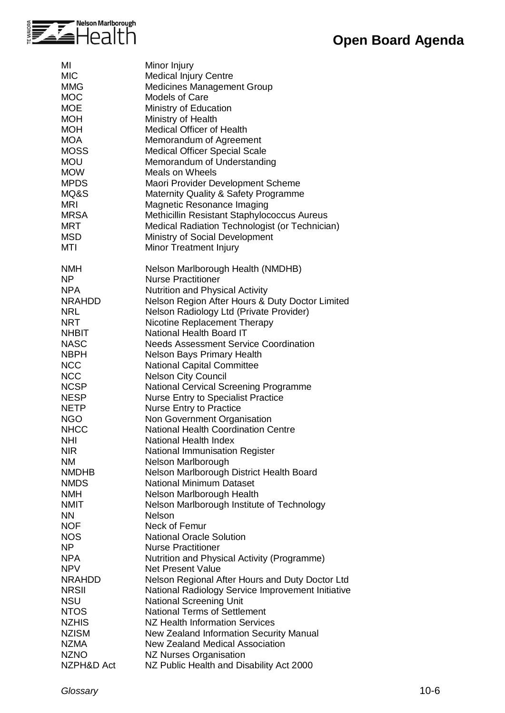| MI            | Minor Injury                                      |
|---------------|---------------------------------------------------|
| <b>MIC</b>    | Medical Injury Centre                             |
| <b>MMG</b>    | <b>Medicines Management Group</b>                 |
| <b>MOC</b>    | <b>Models of Care</b>                             |
| <b>MOE</b>    | Ministry of Education                             |
| <b>MOH</b>    | Ministry of Health                                |
| <b>MOH</b>    | <b>Medical Officer of Health</b>                  |
| <b>MOA</b>    |                                                   |
|               | Memorandum of Agreement                           |
| <b>MOSS</b>   | <b>Medical Officer Special Scale</b>              |
| <b>MOU</b>    | Memorandum of Understanding                       |
| <b>MOW</b>    | Meals on Wheels                                   |
| <b>MPDS</b>   | Maori Provider Development Scheme                 |
| MQ&S          | Maternity Quality & Safety Programme              |
| <b>MRI</b>    | Magnetic Resonance Imaging                        |
| <b>MRSA</b>   | Methicillin Resistant Staphylococcus Aureus       |
| <b>MRT</b>    | Medical Radiation Technologist (or Technician)    |
| <b>MSD</b>    | Ministry of Social Development                    |
| <b>MTI</b>    | Minor Treatment Injury                            |
|               |                                                   |
| <b>NMH</b>    | Nelson Marlborough Health (NMDHB)                 |
| <b>NP</b>     | <b>Nurse Practitioner</b>                         |
| <b>NPA</b>    | <b>Nutrition and Physical Activity</b>            |
| <b>NRAHDD</b> | Nelson Region After Hours & Duty Doctor Limited   |
| <b>NRL</b>    | Nelson Radiology Ltd (Private Provider)           |
| <b>NRT</b>    | Nicotine Replacement Therapy                      |
| <b>NHBIT</b>  | National Health Board IT                          |
| <b>NASC</b>   | <b>Needs Assessment Service Coordination</b>      |
| <b>NBPH</b>   | <b>Nelson Bays Primary Health</b>                 |
| <b>NCC</b>    | <b>National Capital Committee</b>                 |
| <b>NCC</b>    | <b>Nelson City Council</b>                        |
| <b>NCSP</b>   | National Cervical Screening Programme             |
| <b>NESP</b>   | <b>Nurse Entry to Specialist Practice</b>         |
| <b>NETP</b>   | Nurse Entry to Practice                           |
| <b>NGO</b>    | Non Government Organisation                       |
| <b>NHCC</b>   | <b>National Health Coordination Centre</b>        |
| <b>NHI</b>    | National Health Index                             |
| <b>NIR</b>    | National Immunisation Register                    |
| <b>NM</b>     | Nelson Marlborough                                |
| <b>NMDHB</b>  | Nelson Marlborough District Health Board          |
| <b>NMDS</b>   | <b>National Minimum Dataset</b>                   |
| <b>NMH</b>    | Nelson Marlborough Health                         |
| <b>NMIT</b>   | Nelson Marlborough Institute of Technology        |
| <b>NN</b>     | Nelson                                            |
| <b>NOF</b>    | Neck of Femur                                     |
| <b>NOS</b>    | <b>National Oracle Solution</b>                   |
| NP            | <b>Nurse Practitioner</b>                         |
| <b>NPA</b>    | Nutrition and Physical Activity (Programme)       |
| <b>NPV</b>    | <b>Net Present Value</b>                          |
| <b>NRAHDD</b> | Nelson Regional After Hours and Duty Doctor Ltd   |
| <b>NRSII</b>  | National Radiology Service Improvement Initiative |
| <b>NSU</b>    | <b>National Screening Unit</b>                    |
| <b>NTOS</b>   | <b>National Terms of Settlement</b>               |
| <b>NZHIS</b>  | <b>NZ Health Information Services</b>             |
| <b>NZISM</b>  | New Zealand Information Security Manual           |
| <b>NZMA</b>   | <b>New Zealand Medical Association</b>            |
| <b>NZNO</b>   | <b>NZ Nurses Organisation</b>                     |
| NZPH&D Act    | NZ Public Health and Disability Act 2000          |
|               |                                                   |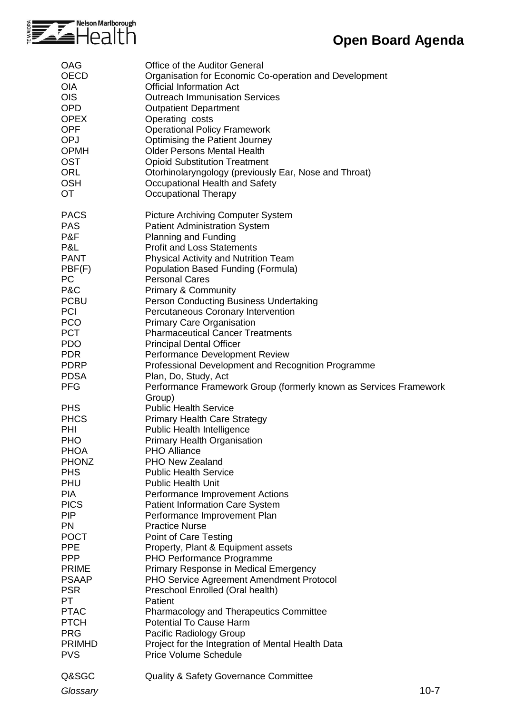

| <b>OAG</b>                                                                                                                                                                                                                                                                                                                           | <b>Office of the Auditor General</b>                                                                                                                                                                                                                                                                                                                                                                                                                                                                                                                                                                                                                                                                                                                                                                                               |
|--------------------------------------------------------------------------------------------------------------------------------------------------------------------------------------------------------------------------------------------------------------------------------------------------------------------------------------|------------------------------------------------------------------------------------------------------------------------------------------------------------------------------------------------------------------------------------------------------------------------------------------------------------------------------------------------------------------------------------------------------------------------------------------------------------------------------------------------------------------------------------------------------------------------------------------------------------------------------------------------------------------------------------------------------------------------------------------------------------------------------------------------------------------------------------|
| <b>OECD</b>                                                                                                                                                                                                                                                                                                                          | Organisation for Economic Co-operation and Development                                                                                                                                                                                                                                                                                                                                                                                                                                                                                                                                                                                                                                                                                                                                                                             |
| <b>OIA</b>                                                                                                                                                                                                                                                                                                                           | <b>Official Information Act</b>                                                                                                                                                                                                                                                                                                                                                                                                                                                                                                                                                                                                                                                                                                                                                                                                    |
| <b>OIS</b>                                                                                                                                                                                                                                                                                                                           | <b>Outreach Immunisation Services</b>                                                                                                                                                                                                                                                                                                                                                                                                                                                                                                                                                                                                                                                                                                                                                                                              |
| <b>OPD</b>                                                                                                                                                                                                                                                                                                                           | <b>Outpatient Department</b>                                                                                                                                                                                                                                                                                                                                                                                                                                                                                                                                                                                                                                                                                                                                                                                                       |
| <b>OPEX</b>                                                                                                                                                                                                                                                                                                                          | Operating costs                                                                                                                                                                                                                                                                                                                                                                                                                                                                                                                                                                                                                                                                                                                                                                                                                    |
| <b>OPF</b>                                                                                                                                                                                                                                                                                                                           | <b>Operational Policy Framework</b>                                                                                                                                                                                                                                                                                                                                                                                                                                                                                                                                                                                                                                                                                                                                                                                                |
| OPJ                                                                                                                                                                                                                                                                                                                                  | <b>Optimising the Patient Journey</b>                                                                                                                                                                                                                                                                                                                                                                                                                                                                                                                                                                                                                                                                                                                                                                                              |
| <b>OPMH</b>                                                                                                                                                                                                                                                                                                                          | <b>Older Persons Mental Health</b>                                                                                                                                                                                                                                                                                                                                                                                                                                                                                                                                                                                                                                                                                                                                                                                                 |
| <b>OST</b>                                                                                                                                                                                                                                                                                                                           | <b>Opioid Substitution Treatment</b>                                                                                                                                                                                                                                                                                                                                                                                                                                                                                                                                                                                                                                                                                                                                                                                               |
| <b>ORL</b>                                                                                                                                                                                                                                                                                                                           | Otorhinolaryngology (previously Ear, Nose and Throat)                                                                                                                                                                                                                                                                                                                                                                                                                                                                                                                                                                                                                                                                                                                                                                              |
| <b>OSH</b>                                                                                                                                                                                                                                                                                                                           | Occupational Health and Safety                                                                                                                                                                                                                                                                                                                                                                                                                                                                                                                                                                                                                                                                                                                                                                                                     |
| <b>OT</b>                                                                                                                                                                                                                                                                                                                            | <b>Occupational Therapy</b>                                                                                                                                                                                                                                                                                                                                                                                                                                                                                                                                                                                                                                                                                                                                                                                                        |
| <b>PACS</b>                                                                                                                                                                                                                                                                                                                          | <b>Picture Archiving Computer System</b>                                                                                                                                                                                                                                                                                                                                                                                                                                                                                                                                                                                                                                                                                                                                                                                           |
| <b>PAS</b>                                                                                                                                                                                                                                                                                                                           | <b>Patient Administration System</b>                                                                                                                                                                                                                                                                                                                                                                                                                                                                                                                                                                                                                                                                                                                                                                                               |
| P&F                                                                                                                                                                                                                                                                                                                                  | <b>Planning and Funding</b>                                                                                                                                                                                                                                                                                                                                                                                                                                                                                                                                                                                                                                                                                                                                                                                                        |
| P&L                                                                                                                                                                                                                                                                                                                                  | <b>Profit and Loss Statements</b>                                                                                                                                                                                                                                                                                                                                                                                                                                                                                                                                                                                                                                                                                                                                                                                                  |
| <b>PANT</b>                                                                                                                                                                                                                                                                                                                          | <b>Physical Activity and Nutrition Team</b>                                                                                                                                                                                                                                                                                                                                                                                                                                                                                                                                                                                                                                                                                                                                                                                        |
| PBF(F)                                                                                                                                                                                                                                                                                                                               | Population Based Funding (Formula)                                                                                                                                                                                                                                                                                                                                                                                                                                                                                                                                                                                                                                                                                                                                                                                                 |
| <b>PC</b>                                                                                                                                                                                                                                                                                                                            | <b>Personal Cares</b>                                                                                                                                                                                                                                                                                                                                                                                                                                                                                                                                                                                                                                                                                                                                                                                                              |
| P&C                                                                                                                                                                                                                                                                                                                                  | <b>Primary &amp; Community</b>                                                                                                                                                                                                                                                                                                                                                                                                                                                                                                                                                                                                                                                                                                                                                                                                     |
| <b>PCBU</b>                                                                                                                                                                                                                                                                                                                          | Person Conducting Business Undertaking                                                                                                                                                                                                                                                                                                                                                                                                                                                                                                                                                                                                                                                                                                                                                                                             |
| <b>PCI</b>                                                                                                                                                                                                                                                                                                                           | Percutaneous Coronary Intervention                                                                                                                                                                                                                                                                                                                                                                                                                                                                                                                                                                                                                                                                                                                                                                                                 |
| <b>PCO</b>                                                                                                                                                                                                                                                                                                                           | <b>Primary Care Organisation</b>                                                                                                                                                                                                                                                                                                                                                                                                                                                                                                                                                                                                                                                                                                                                                                                                   |
| <b>PCT</b>                                                                                                                                                                                                                                                                                                                           | <b>Pharmaceutical Cancer Treatments</b>                                                                                                                                                                                                                                                                                                                                                                                                                                                                                                                                                                                                                                                                                                                                                                                            |
| <b>PDO</b>                                                                                                                                                                                                                                                                                                                           | <b>Principal Dental Officer</b>                                                                                                                                                                                                                                                                                                                                                                                                                                                                                                                                                                                                                                                                                                                                                                                                    |
| <b>PDR</b>                                                                                                                                                                                                                                                                                                                           | Performance Development Review                                                                                                                                                                                                                                                                                                                                                                                                                                                                                                                                                                                                                                                                                                                                                                                                     |
| <b>PDRP</b>                                                                                                                                                                                                                                                                                                                          | Professional Development and Recognition Programme                                                                                                                                                                                                                                                                                                                                                                                                                                                                                                                                                                                                                                                                                                                                                                                 |
| <b>PDSA</b>                                                                                                                                                                                                                                                                                                                          | Plan, Do, Study, Act                                                                                                                                                                                                                                                                                                                                                                                                                                                                                                                                                                                                                                                                                                                                                                                                               |
| <b>PFG</b>                                                                                                                                                                                                                                                                                                                           | Performance Framework Group (formerly known as Services Framework                                                                                                                                                                                                                                                                                                                                                                                                                                                                                                                                                                                                                                                                                                                                                                  |
| <b>PHS</b><br><b>PHCS</b><br>PHI<br><b>PHO</b><br><b>PHOA</b><br><b>PHONZ</b><br><b>PHS</b><br>PHU<br><b>PIA</b><br><b>PICS</b><br><b>PIP</b><br><b>PN</b><br><b>POCT</b><br><b>PPE</b><br><b>PPP</b><br><b>PRIME</b><br><b>PSAAP</b><br><b>PSR</b><br>PT<br><b>PTAC</b><br><b>PTCH</b><br><b>PRG</b><br><b>PRIMHD</b><br><b>PVS</b> | Group)<br><b>Public Health Service</b><br><b>Primary Health Care Strategy</b><br>Public Health Intelligence<br>Primary Health Organisation<br><b>PHO Alliance</b><br><b>PHO New Zealand</b><br><b>Public Health Service</b><br><b>Public Health Unit</b><br>Performance Improvement Actions<br><b>Patient Information Care System</b><br>Performance Improvement Plan<br><b>Practice Nurse</b><br>Point of Care Testing<br>Property, Plant & Equipment assets<br>PHO Performance Programme<br>Primary Response in Medical Emergency<br>PHO Service Agreement Amendment Protocol<br>Preschool Enrolled (Oral health)<br>Patient<br><b>Pharmacology and Therapeutics Committee</b><br><b>Potential To Cause Harm</b><br>Pacific Radiology Group<br>Project for the Integration of Mental Health Data<br><b>Price Volume Schedule</b> |
| Q&SGC                                                                                                                                                                                                                                                                                                                                | <b>Quality &amp; Safety Governance Committee</b>                                                                                                                                                                                                                                                                                                                                                                                                                                                                                                                                                                                                                                                                                                                                                                                   |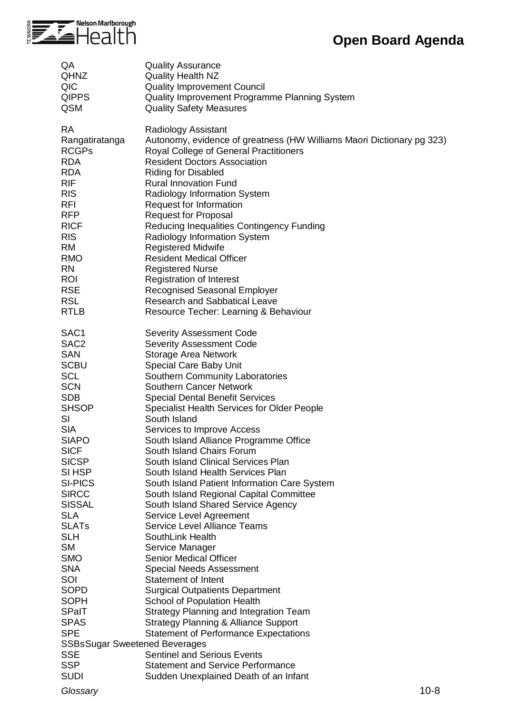

| QA                                   | <b>Quality Assurance</b>                                                    |
|--------------------------------------|-----------------------------------------------------------------------------|
| <b>QHNZ</b>                          | <b>Quality Health NZ</b>                                                    |
| QIC                                  | <b>Quality Improvement Council</b>                                          |
| <b>QIPPS</b>                         | Quality Improvement Programme Planning System                               |
| <b>QSM</b>                           | <b>Quality Safety Measures</b>                                              |
| <b>RA</b>                            | Radiology Assistant                                                         |
| Rangatiratanga                       | Autonomy, evidence of greatness (HW Williams Maori Dictionary pg 323)       |
| <b>RCGPs</b>                         | Royal College of General Practitioners                                      |
| <b>RDA</b>                           | <b>Resident Doctors Association</b>                                         |
| <b>RDA</b>                           | <b>Riding for Disabled</b>                                                  |
| <b>RIF</b>                           | <b>Rural Innovation Fund</b>                                                |
| <b>RIS</b>                           | Radiology Information System                                                |
| <b>RFI</b>                           | Request for Information                                                     |
| <b>RFP</b>                           | <b>Request for Proposal</b>                                                 |
| <b>RICF</b>                          | Reducing Inequalities Contingency Funding                                   |
| <b>RIS</b>                           | Radiology Information System                                                |
| <b>RM</b>                            | <b>Registered Midwife</b>                                                   |
| <b>RMO</b>                           | <b>Resident Medical Officer</b>                                             |
| <b>RN</b>                            | <b>Registered Nurse</b>                                                     |
| <b>ROI</b><br><b>RSE</b>             | <b>Registration of Interest</b>                                             |
| <b>RSL</b>                           | <b>Recognised Seasonal Employer</b><br><b>Research and Sabbatical Leave</b> |
| <b>RTLB</b>                          | Resource Techer: Learning & Behaviour                                       |
|                                      |                                                                             |
| SAC <sub>1</sub>                     | <b>Severity Assessment Code</b>                                             |
| SAC <sub>2</sub>                     | <b>Severity Assessment Code</b>                                             |
| <b>SAN</b>                           | <b>Storage Area Network</b>                                                 |
| <b>SCBU</b>                          | Special Care Baby Unit                                                      |
| <b>SCL</b>                           | Southern Community Laboratories                                             |
| <b>SCN</b>                           | <b>Southern Cancer Network</b>                                              |
| <b>SDB</b>                           | <b>Special Dental Benefit Services</b>                                      |
| <b>SHSOP</b><br>SI                   | <b>Specialist Health Services for Older People</b>                          |
| <b>SIA</b>                           | South Island<br>Services to Improve Access                                  |
| <b>SIAPO</b>                         | South Island Alliance Programme Office                                      |
| <b>SICF</b>                          | South Island Chairs Forum                                                   |
| <b>SICSP</b>                         | South Island Clinical Services Plan                                         |
| SI HSP                               | South Island Health Services Plan                                           |
| <b>SI-PICS</b>                       | South Island Patient Information Care System                                |
| <b>SIRCC</b>                         | South Island Regional Capital Committee                                     |
| <b>SISSAL</b>                        | South Island Shared Service Agency                                          |
| <b>SLA</b>                           | Service Level Agreement                                                     |
| <b>SLATs</b>                         | <b>Service Level Alliance Teams</b>                                         |
| <b>SLH</b>                           | SouthLink Health                                                            |
| <b>SM</b>                            | Service Manager                                                             |
| <b>SMO</b><br><b>SNA</b>             | <b>Senior Medical Officer</b>                                               |
| SOI                                  | <b>Special Needs Assessment</b><br>Statement of Intent                      |
| <b>SOPD</b>                          | <b>Surgical Outpatients Department</b>                                      |
| <b>SOPH</b>                          | School of Population Health                                                 |
| SPaIT                                | <b>Strategy Planning and Integration Team</b>                               |
| <b>SPAS</b>                          | <b>Strategy Planning &amp; Alliance Support</b>                             |
| <b>SPE</b>                           | <b>Statement of Performance Expectations</b>                                |
| <b>SSBsSugar Sweetened Beverages</b> |                                                                             |
| <b>SSE</b>                           | <b>Sentinel and Serious Events</b>                                          |
| <b>SSP</b>                           | <b>Statement and Service Performance</b>                                    |
| <b>SUDI</b>                          | Sudden Unexplained Death of an Infant                                       |

*Glossary* 10-8